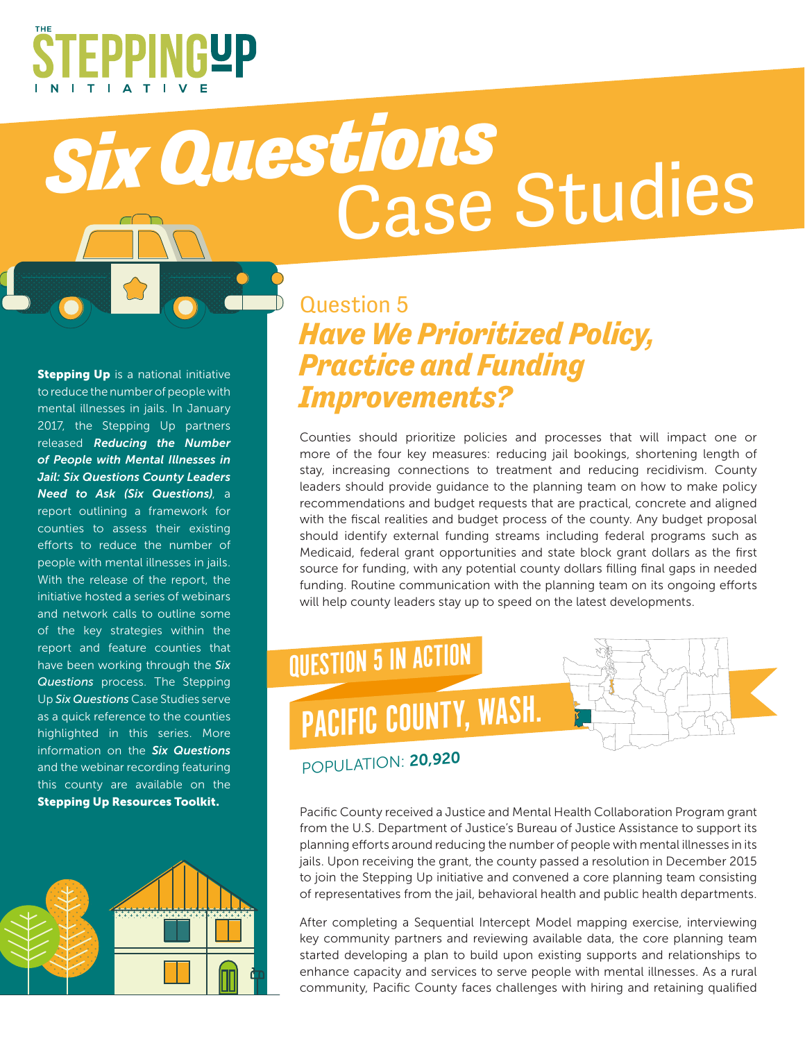

## *Six Questions* Case Studies

**Stepping Up** is a national initiative to reduce the number of people with mental illnesses in jails. In January 2017, the Stepping Up partners released *Reducing the Number of People with Mental Illnesses in Jail: Six Questions County Leaders Need to Ask (Six Questions)*, a report outlining a framework for counties to assess their existing efforts to reduce the number of people with mental illnesses in jails. With the release of the report, the initiative hosted a series of webinars and network calls to outline some of the key strategies within the report and feature counties that have been working through the *Six Questions* process. The Stepping Up *Six Questions* Case Studies serve as a quick reference to the counties highlighted in this series. More information on the *Six Questions*  and the webinar recording featuring this county are available on the Stepping Up Resources Toolkit.



## Question 5 *Have We Prioritized Policy, Practice and Funding Improvements?*

Counties should prioritize policies and processes that will impact one or more of the four key measures: reducing jail bookings, shortening length of stay, increasing connections to treatment and reducing recidivism. County leaders should provide guidance to the planning team on how to make policy recommendations and budget requests that are practical, concrete and aligned with the fiscal realities and budget process of the county. Any budget proposal should identify external funding streams including federal programs such as Medicaid, federal grant opportunities and state block grant dollars as the first source for funding, with any potential county dollars filling final gaps in needed funding. Routine communication with the planning team on its ongoing efforts will help county leaders stay up to speed on the latest developments.



## POPULATION: 20,920

Pacific County received a Justice and Mental Health Collaboration Program grant from the U.S. Department of Justice's Bureau of Justice Assistance to support its planning efforts around reducing the number of people with mental illnesses in its jails. Upon receiving the grant, the county passed a resolution in December 2015 to join the Stepping Up initiative and convened a core planning team consisting of representatives from the jail, behavioral health and public health departments.

After completing a Sequential Intercept Model mapping exercise, interviewing key community partners and reviewing available data, the core planning team started developing a plan to build upon existing supports and relationships to enhance capacity and services to serve people with mental illnesses. As a rural community, Pacific County faces challenges with hiring and retaining qualified